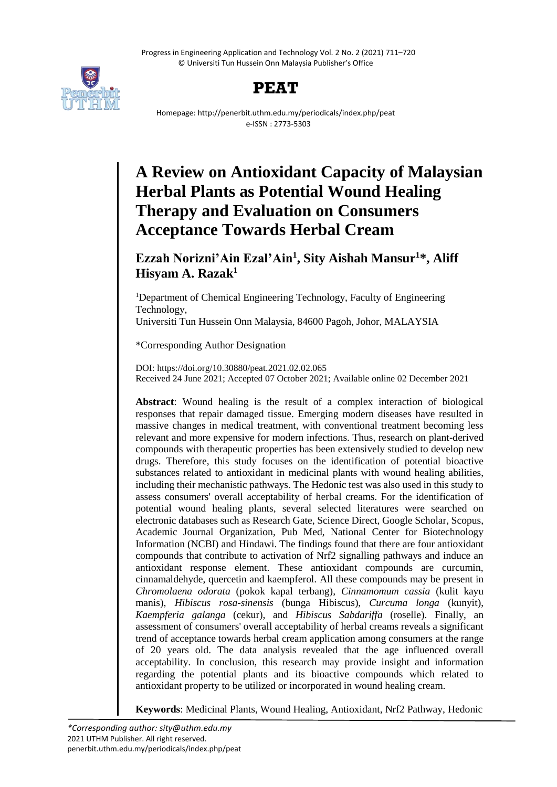Progress in Engineering Application and Technology Vol. 2 No. 2 (2021) 711–720 © Universiti Tun Hussein Onn Malaysia Publisher's Office





Homepage: http://penerbit.uthm.edu.my/periodicals/index.php/peat e-ISSN : 2773-5303

# **A Review on Antioxidant Capacity of Malaysian Herbal Plants as Potential Wound Healing Therapy and Evaluation on Consumers Acceptance Towards Herbal Cream**

**Ezzah Norizni'Ain Ezal'Ain<sup>1</sup> , Sity Aishah Mansur<sup>1</sup>\*, Aliff Hisyam A. Razak<sup>1</sup>**

<sup>1</sup>Department of Chemical Engineering Technology, Faculty of Engineering Technology, Universiti Tun Hussein Onn Malaysia, 84600 Pagoh, Johor, MALAYSIA

\*Corresponding Author Designation

DOI: https://doi.org/10.30880/peat.2021.02.02.065 Received 24 June 2021; Accepted 07 October 2021; Available online 02 December 2021

**Abstract**: Wound healing is the result of a complex interaction of biological responses that repair damaged tissue. Emerging modern diseases have resulted in massive changes in medical treatment, with conventional treatment becoming less relevant and more expensive for modern infections. Thus, research on plant-derived compounds with therapeutic properties has been extensively studied to develop new drugs. Therefore, this study focuses on the identification of potential bioactive substances related to antioxidant in medicinal plants with wound healing abilities, including their mechanistic pathways. The Hedonic test was also used in this study to assess consumers' overall acceptability of herbal creams. For the identification of potential wound healing plants, several selected literatures were searched on electronic databases such as Research Gate, Science Direct, Google Scholar, Scopus, Academic Journal Organization, Pub Med, National Center for Biotechnology Information (NCBI) and Hindawi. The findings found that there are four antioxidant compounds that contribute to activation of Nrf2 signalling pathways and induce an antioxidant response element. These antioxidant compounds are curcumin, cinnamaldehyde, quercetin and kaempferol. All these compounds may be present in *Chromolaena odorata* (pokok kapal terbang), *Cinnamomum cassia* (kulit kayu manis), *Hibiscus rosa-sinensis* (bunga Hibiscus), *Curcuma longa* (kunyit), *Kaempferia galanga* (cekur), and *Hibiscus Sabdariffa* (roselle). Finally, an assessment of consumers' overall acceptability of herbal creams reveals a significant trend of acceptance towards herbal cream application among consumers at the range of 20 years old. The data analysis revealed that the age influenced overall acceptability. In conclusion, this research may provide insight and information regarding the potential plants and its bioactive compounds which related to antioxidant property to be utilized or incorporated in wound healing cream.

**Keywords**: Medicinal Plants, Wound Healing, Antioxidant, Nrf2 Pathway, Hedonic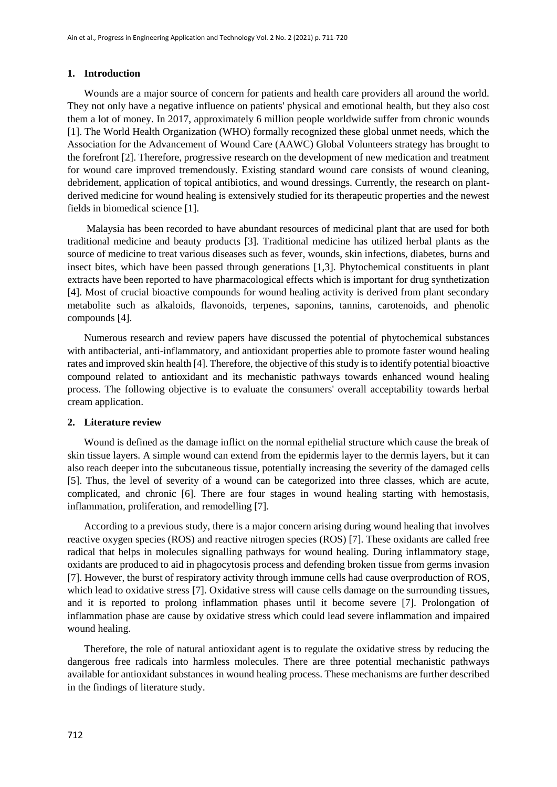#### **1. Introduction**

Wounds are a major source of concern for patients and health care providers all around the world. They not only have a negative influence on patients' physical and emotional health, but they also cost them a lot of money. In 2017, approximately 6 million people worldwide suffer from chronic wounds [1]. The World Health Organization (WHO) formally recognized these global unmet needs, which the Association for the Advancement of Wound Care (AAWC) Global Volunteers strategy has brought to the forefront [2]. Therefore, progressive research on the development of new medication and treatment for wound care improved tremendously. Existing standard wound care consists of wound cleaning, debridement, application of topical antibiotics, and wound dressings. Currently, the research on plantderived medicine for wound healing is extensively studied for its therapeutic properties and the newest fields in biomedical science [1].

Malaysia has been recorded to have abundant resources of medicinal plant that are used for both traditional medicine and beauty products [3]. Traditional medicine has utilized herbal plants as the source of medicine to treat various diseases such as fever, wounds, skin infections, diabetes, burns and insect bites, which have been passed through generations [1,3]. Phytochemical constituents in plant extracts have been reported to have pharmacological effects which is important for drug synthetization [4]. Most of crucial bioactive compounds for wound healing activity is derived from plant secondary metabolite such as alkaloids, flavonoids, terpenes, saponins, tannins, carotenoids, and phenolic compounds [4].

Numerous research and review papers have discussed the potential of phytochemical substances with antibacterial, anti-inflammatory, and antioxidant properties able to promote faster wound healing rates and improved skin health [4]. Therefore, the objective of this study is to identify potential bioactive compound related to antioxidant and its mechanistic pathways towards enhanced wound healing process. The following objective is to evaluate the consumers' overall acceptability towards herbal cream application.

#### **2. Literature review**

Wound is defined as the damage inflict on the normal epithelial structure which cause the break of skin tissue layers. A simple wound can extend from the epidermis layer to the dermis layers, but it can also reach deeper into the subcutaneous tissue, potentially increasing the severity of the damaged cells [5]. Thus, the level of severity of a wound can be categorized into three classes, which are acute, complicated, and chronic [6]. There are four stages in wound healing starting with hemostasis, inflammation, proliferation, and remodelling [7].

According to a previous study, there is a major concern arising during wound healing that involves reactive oxygen species (ROS) and reactive nitrogen species (ROS) [7]. These oxidants are called free radical that helps in molecules signalling pathways for wound healing. During inflammatory stage, oxidants are produced to aid in phagocytosis process and defending broken tissue from germs invasion [7]. However, the burst of respiratory activity through immune cells had cause overproduction of ROS, which lead to oxidative stress [7]. Oxidative stress will cause cells damage on the surrounding tissues, and it is reported to prolong inflammation phases until it become severe [7]. Prolongation of inflammation phase are cause by oxidative stress which could lead severe inflammation and impaired wound healing.

Therefore, the role of natural antioxidant agent is to regulate the oxidative stress by reducing the dangerous free radicals into harmless molecules. There are three potential mechanistic pathways available for antioxidant substances in wound healing process. These mechanisms are further described in the findings of literature study.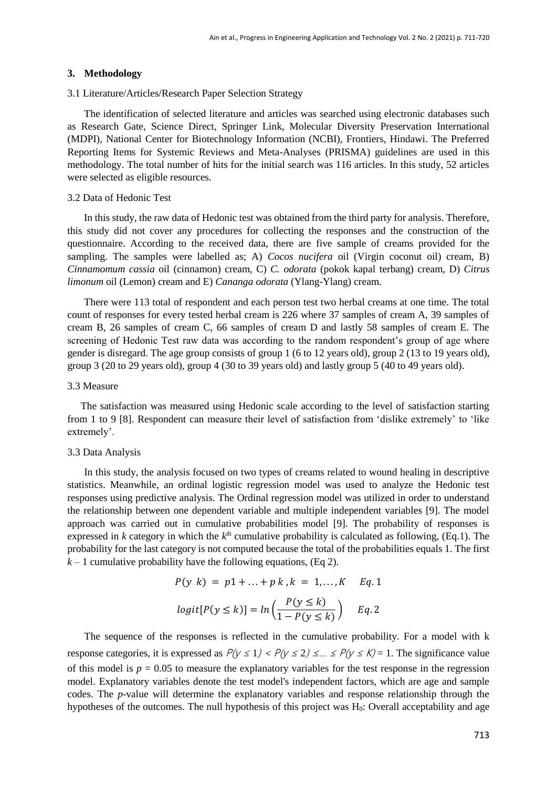#### **3. Methodology**

#### 3.1 Literature/Articles/Research Paper Selection Strategy

The identification of selected literature and articles was searched using electronic databases such as Research Gate, Science Direct, Springer Link, Molecular Diversity Preservation International (MDPI), National Center for Biotechnology Information (NCBI), Frontiers, Hindawi. The Preferred Reporting Items for Systemic Reviews and Meta-Analyses (PRISMA) guidelines are used in this methodology. The total number of hits for the initial search was 116 articles. In this study, 52 articles were selected as eligible resources.

#### 3.2 Data of Hedonic Test

In this study, the raw data of Hedonic test was obtained from the third party for analysis. Therefore, this study did not cover any procedures for collecting the responses and the construction of the questionnaire. According to the received data, there are five sample of creams provided for the sampling. The samples were labelled as; A) *Cocos nucifera* oil (Virgin coconut oil) cream, B) *Cinnamomum cassia* oil (cinnamon) cream, C) *C. odorata* (pokok kapal terbang) cream, D) *Citrus limonum* oil (Lemon) cream and E) *Cananga odorata* (Ylang-Ylang) cream.

There were 113 total of respondent and each person test two herbal creams at one time. The total count of responses for every tested herbal cream is 226 where 37 samples of cream A, 39 samples of cream B, 26 samples of cream C, 66 samples of cream D and lastly 58 samples of cream E. The screening of Hedonic Test raw data was according to the random respondent's group of age where gender is disregard. The age group consists of group 1 (6 to 12 years old), group 2 (13 to 19 years old), group 3 (20 to 29 years old), group 4 (30 to 39 years old) and lastly group 5 (40 to 49 years old).

### 3.3 Measure

The satisfaction was measured using Hedonic scale according to the level of satisfaction starting from 1 to 9 [8]. Respondent can measure their level of satisfaction from 'dislike extremely' to 'like extremely'.

#### 3.3 Data Analysis

In this study, the analysis focused on two types of creams related to wound healing in descriptive statistics. Meanwhile, an ordinal logistic regression model was used to analyze the Hedonic test responses using predictive analysis. The Ordinal regression model was utilized in order to understand the relationship between one dependent variable and multiple independent variables [9]. The model approach was carried out in cumulative probabilities model [9]. The probability of responses is expressed in  $k$  category in which the  $k<sup>th</sup>$  cumulative probability is calculated as following, (Eq.1). The probability for the last category is not computed because the total of the probabilities equals 1. The first  $k-1$  cumulative probability have the following equations, (Eq 2).

$$
P(y \ k) = p1 + \ldots + p \ k \ k = 1, \ldots, K \quad Eq. 1
$$
\n
$$
logit[P(y \le k)] = ln\left(\frac{P(y \le k)}{1 - P(y \le k)}\right) \quad Eq. 2
$$

The sequence of the responses is reflected in the cumulative probability. For a model with k response categories, it is expressed as  $P(y \le 1) < P(y \le 2) \le ... \le P(y \le K) = 1$ . The significance value of this model is  $p = 0.05$  to measure the explanatory variables for the test response in the regression model. Explanatory variables denote the test model's independent factors, which are age and sample codes. The *p*-value will determine the explanatory variables and response relationship through the hypotheses of the outcomes. The null hypothesis of this project was H<sub>0</sub>: Overall acceptability and age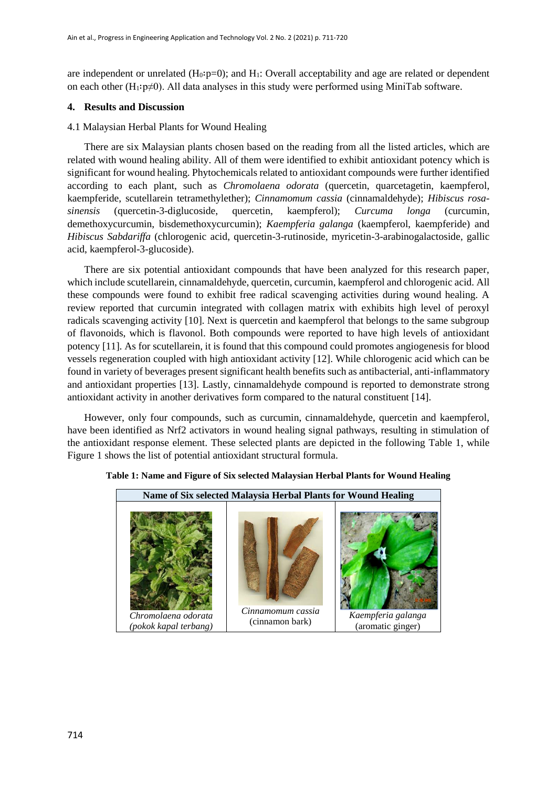are independent or unrelated  $(H_0: p=0)$ ; and  $H_1$ : Overall acceptability and age are related or dependent on each other (H<sub>1</sub>∶p≠0). All data analyses in this study were performed using MiniTab software.

#### **4. Results and Discussion**

#### 4.1 Malaysian Herbal Plants for Wound Healing

There are six Malaysian plants chosen based on the reading from all the listed articles, which are related with wound healing ability. All of them were identified to exhibit antioxidant potency which is significant for wound healing. Phytochemicals related to antioxidant compounds were further identified according to each plant, such as *Chromolaena odorata* (quercetin, quarcetagetin, kaempferol, kaempferide, scutellarein tetramethylether); *Cinnamomum cassia* (cinnamaldehyde); *Hibiscus rosasinensis* (quercetin-3-diglucoside, quercetin, kaempferol); *Curcuma longa* (curcumin, demethoxycurcumin, bisdemethoxycurcumin); *Kaempferia galanga* (kaempferol, kaempferide) and *Hibiscus Sabdariffa* (chlorogenic acid, quercetin-3-rutinoside, myricetin-3-arabinogalactoside, gallic acid, kaempferol-3-glucoside).

There are six potential antioxidant compounds that have been analyzed for this research paper, which include scutellarein, cinnamaldehyde, quercetin, curcumin, kaempferol and chlorogenic acid. All these compounds were found to exhibit free radical scavenging activities during wound healing. A review reported that curcumin integrated with collagen matrix with exhibits high level of peroxyl radicals scavenging activity [10]. Next is quercetin and kaempferol that belongs to the same subgroup of flavonoids, which is flavonol. Both compounds were reported to have high levels of antioxidant potency [11]. As for scutellarein, it is found that this compound could promotes angiogenesis for blood vessels regeneration coupled with high antioxidant activity [12]. While chlorogenic acid which can be found in variety of beverages present significant health benefits such as antibacterial, anti-inflammatory and antioxidant properties [13]. Lastly, cinnamaldehyde compound is reported to demonstrate strong antioxidant activity in another derivatives form compared to the natural constituent [14].

However, only four compounds, such as curcumin, cinnamaldehyde, quercetin and kaempferol, have been identified as Nrf2 activators in wound healing signal pathways, resulting in stimulation of the antioxidant response element. These selected plants are depicted in the following Table 1, while Figure 1 shows the list of potential antioxidant structural formula.



#### **Table 1: Name and Figure of Six selected Malaysian Herbal Plants for Wound Healing**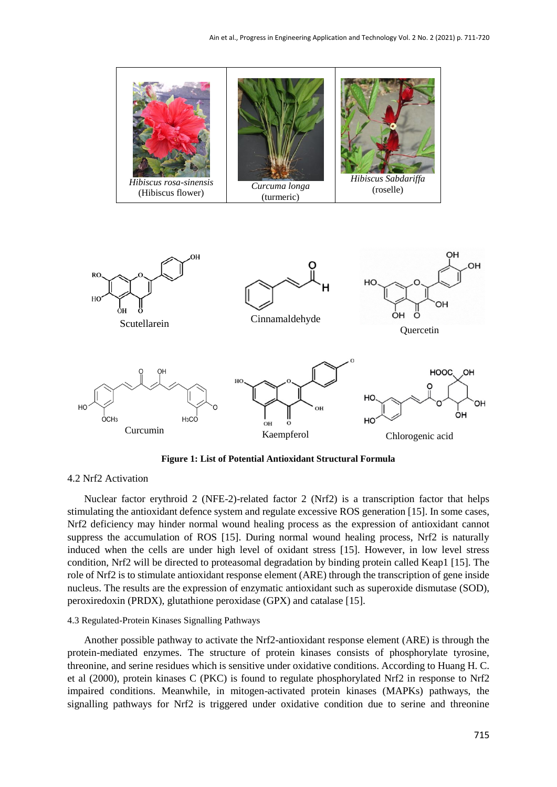

**Figure 1: List of Potential Antioxidant Structural Formula**

## 4.2 Nrf2 Activation

Nuclear factor erythroid 2 (NFE-2)-related factor 2 (Nrf2) is a transcription factor that helps stimulating the antioxidant defence system and regulate excessive ROS generation [15]. In some cases, Nrf2 deficiency may hinder normal wound healing process as the expression of antioxidant cannot suppress the accumulation of ROS [15]. During normal wound healing process, Nrf2 is naturally induced when the cells are under high level of oxidant stress [15]. However, in low level stress condition, Nrf2 will be directed to proteasomal degradation by binding protein called Keap1 [15]. The role of Nrf2 is to stimulate antioxidant response element (ARE) through the transcription of gene inside nucleus. The results are the expression of enzymatic antioxidant such as superoxide dismutase (SOD), peroxiredoxin (PRDX), glutathione peroxidase (GPX) and catalase [15].

#### 4.3 Regulated-Protein Kinases Signalling Pathways

Another possible pathway to activate the Nrf2-antioxidant response element (ARE) is through the protein-mediated enzymes. The structure of protein kinases consists of phosphorylate tyrosine, threonine, and serine residues which is sensitive under oxidative conditions. According to Huang H. C. et al (2000), protein kinases C (PKC) is found to regulate phosphorylated Nrf2 in response to Nrf2 impaired conditions. Meanwhile, in mitogen-activated protein kinases (MAPKs) pathways, the signalling pathways for Nrf2 is triggered under oxidative condition due to serine and threonine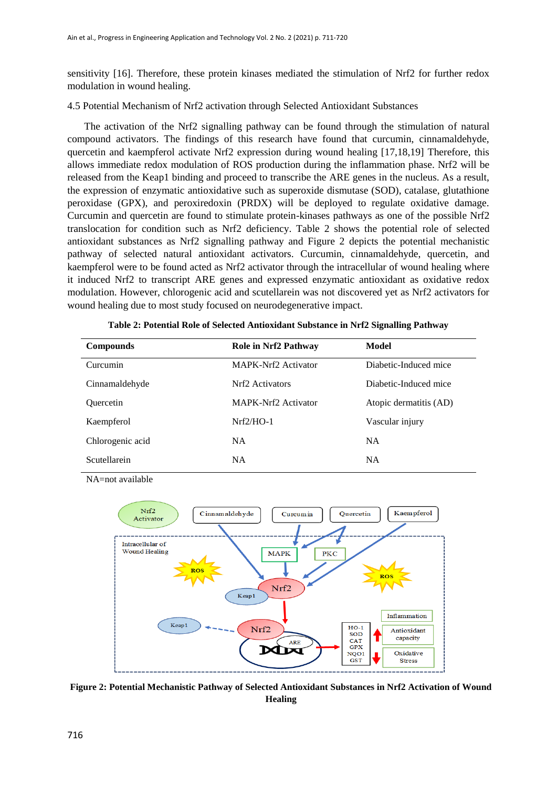sensitivity [16]. Therefore, these protein kinases mediated the stimulation of Nrf2 for further redox modulation in wound healing.

4.5 Potential Mechanism of Nrf2 activation through Selected Antioxidant Substances

The activation of the Nrf2 signalling pathway can be found through the stimulation of natural compound activators. The findings of this research have found that curcumin, cinnamaldehyde, quercetin and kaempferol activate Nrf2 expression during wound healing [17,18,19] Therefore, this allows immediate redox modulation of ROS production during the inflammation phase. Nrf2 will be released from the Keap1 binding and proceed to transcribe the ARE genes in the nucleus. As a result, the expression of enzymatic antioxidative such as superoxide dismutase (SOD), catalase, glutathione peroxidase (GPX), and peroxiredoxin (PRDX) will be deployed to regulate oxidative damage. Curcumin and quercetin are found to stimulate protein-kinases pathways as one of the possible Nrf2 translocation for condition such as Nrf2 deficiency. Table 2 shows the potential role of selected antioxidant substances as Nrf2 signalling pathway and Figure 2 depicts the potential mechanistic pathway of selected natural antioxidant activators. Curcumin, cinnamaldehyde, quercetin, and kaempferol were to be found acted as Nrf2 activator through the intracellular of wound healing where it induced Nrf2 to transcript ARE genes and expressed enzymatic antioxidant as oxidative redox modulation. However, chlorogenic acid and scutellarein was not discovered yet as Nrf2 activators for wound healing due to most study focused on neurodegenerative impact.

| <b>Compounds</b> | <b>Role in Nrf2 Pathway</b> | Model                  |
|------------------|-----------------------------|------------------------|
| Curcumin         | MAPK-Nrf2 Activator         | Diabetic-Induced mice  |
| Cinnamaldehyde   | Nrf <sub>2</sub> Activators | Diabetic-Induced mice  |
| Ouercetin        | MAPK-Nrf2 Activator         | Atopic dermatitis (AD) |
| Kaempferol       | $Nrf2/HO-1$                 | Vascular injury        |
| Chlorogenic acid | NA.                         | <b>NA</b>              |
| Scutellarein     | <b>NA</b>                   | <b>NA</b>              |

**Table 2: Potential Role of Selected Antioxidant Substance in Nrf2 Signalling Pathway**

NA=not available



**Figure 2: Potential Mechanistic Pathway of Selected Antioxidant Substances in Nrf2 Activation of Wound Healing**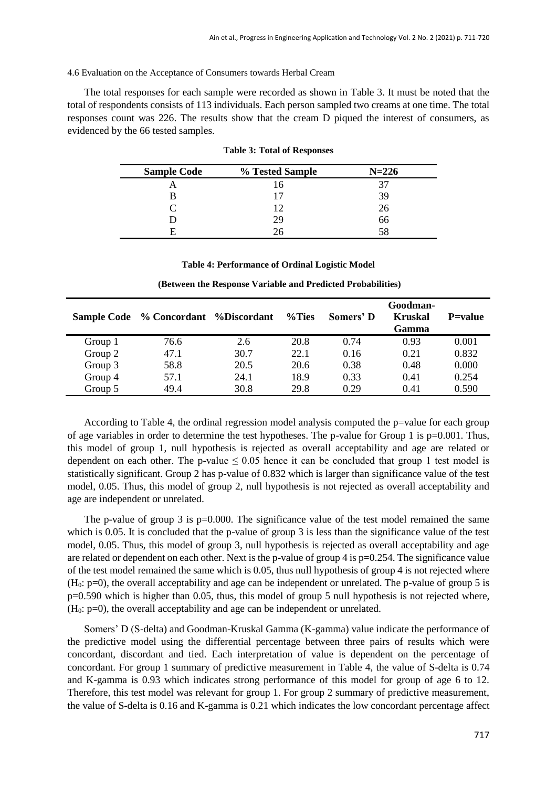#### 4.6 Evaluation on the Acceptance of Consumers towards Herbal Cream

The total responses for each sample were recorded as shown in Table 3. It must be noted that the total of respondents consists of 113 individuals. Each person sampled two creams at one time. The total responses count was 226. The results show that the cream D piqued the interest of consumers, as evidenced by the 66 tested samples.

| <b>Sample Code</b> | % Tested Sample | $N = 226$ |
|--------------------|-----------------|-----------|
|                    |                 |           |
|                    |                 | 39        |
|                    |                 | 26        |
|                    | 29              | 66        |
| F                  |                 | 58        |

| <b>Table 3: Total of Responses</b> |  |  |  |
|------------------------------------|--|--|--|
|------------------------------------|--|--|--|

#### **Table 4: Performance of Ordinal Logistic Model**

|         | Sample Code % Concordant % Discordant |      | %Ties | Somers' D | Goodman-<br><b>Kruskal</b><br>Gamma | <b>P</b> =value |
|---------|---------------------------------------|------|-------|-----------|-------------------------------------|-----------------|
| Group 1 | 76.6                                  | 2.6  | 20.8  | 0.74      | 0.93                                | 0.001           |
| Group 2 | 47.1                                  | 30.7 | 22.1  | 0.16      | 0.21                                | 0.832           |
| Group 3 | 58.8                                  | 20.5 | 20.6  | 0.38      | 0.48                                | 0.000           |
| Group 4 | 57.1                                  | 24.1 | 18.9  | 0.33      | 0.41                                | 0.254           |
| Group 5 | 49.4                                  | 30.8 | 29.8  | 0.29      | 0.41                                | 0.590           |

**(Between the Response Variable and Predicted Probabilities)**

According to Table 4, the ordinal regression model analysis computed the p=value for each group of age variables in order to determine the test hypotheses. The p-value for Group 1 is  $p=0.001$ . Thus, this model of group 1, null hypothesis is rejected as overall acceptability and age are related or dependent on each other. The p-value  $\leq 0.05$  hence it can be concluded that group 1 test model is statistically significant. Group 2 has p-value of 0.832 which is larger than significance value of the test model, 0.05. Thus, this model of group 2, null hypothesis is not rejected as overall acceptability and age are independent or unrelated.

The p-value of group 3 is  $p=0.000$ . The significance value of the test model remained the same which is 0.05. It is concluded that the p-value of group 3 is less than the significance value of the test model, 0.05. Thus, this model of group 3, null hypothesis is rejected as overall acceptability and age are related or dependent on each other. Next is the p-value of group 4 is p=0.254. The significance value of the test model remained the same which is 0.05, thus null hypothesis of group 4 is not rejected where (H0: p=0), the overall acceptability and age can be independent or unrelated. The p-value of group 5 is p=0.590 which is higher than 0.05, thus, this model of group 5 null hypothesis is not rejected where,  $(H<sub>0</sub>: p=0)$ , the overall acceptability and age can be independent or unrelated.

Somers' D (S-delta) and Goodman-Kruskal Gamma (K-gamma) value indicate the performance of the predictive model using the differential percentage between three pairs of results which were concordant, discordant and tied. Each interpretation of value is dependent on the percentage of concordant. For group 1 summary of predictive measurement in Table 4, the value of S-delta is 0.74 and K-gamma is 0.93 which indicates strong performance of this model for group of age 6 to 12. Therefore, this test model was relevant for group 1. For group 2 summary of predictive measurement, the value of S-delta is 0.16 and K-gamma is 0.21 which indicates the low concordant percentage affect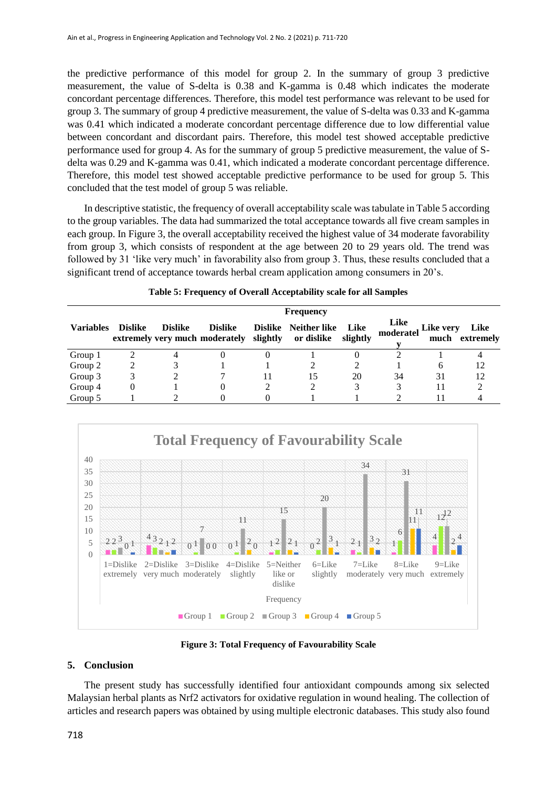the predictive performance of this model for group 2. In the summary of group 3 predictive measurement, the value of S-delta is 0.38 and K-gamma is 0.48 which indicates the moderate concordant percentage differences. Therefore, this model test performance was relevant to be used for group 3. The summary of group 4 predictive measurement, the value of S-delta was 0.33 and K-gamma was 0.41 which indicated a moderate concordant percentage difference due to low differential value between concordant and discordant pairs. Therefore, this model test showed acceptable predictive performance used for group 4. As for the summary of group 5 predictive measurement, the value of Sdelta was 0.29 and K-gamma was 0.41, which indicated a moderate concordant percentage difference. Therefore, this model test showed acceptable predictive performance to be used for group 5. This concluded that the test model of group 5 was reliable.

In descriptive statistic, the frequency of overall acceptability scale was tabulate in Table 5 according to the group variables. The data had summarized the total acceptance towards all five cream samples in each group. In Figure 3, the overall acceptability received the highest value of 34 moderate favorability from group 3, which consists of respondent at the age between 20 to 29 years old. The trend was followed by 31 'like very much' in favorability also from group 3. Thus, these results concluded that a significant trend of acceptance towards herbal cream application among consumers in 20's.

| <b>Frequency</b> |                |                |                                                                      |  |                      |                  |                   |           |                        |
|------------------|----------------|----------------|----------------------------------------------------------------------|--|----------------------|------------------|-------------------|-----------|------------------------|
| <b>Variables</b> | <b>Dislike</b> | <b>Dislike</b> | <b>Dislike</b><br>extremely very much moderately slightly or dislike |  | Dislike Neither like | Like<br>slightly | Like<br>moderatel | Like very | Like<br>much extremely |
| Group 1          |                |                |                                                                      |  |                      |                  |                   |           |                        |
| Group 2          |                |                |                                                                      |  |                      |                  |                   | h         | 12                     |
| Group 3          |                |                |                                                                      |  | 15                   | 20               | 34                | 31        | 12                     |
| Group 4          |                |                |                                                                      |  |                      |                  |                   | 11        |                        |
| Group 5          |                |                |                                                                      |  |                      |                  |                   |           |                        |





**Figure 3: Total Frequency of Favourability Scale**

# **5. Conclusion**

The present study has successfully identified four antioxidant compounds among six selected Malaysian herbal plants as Nrf2 activators for oxidative regulation in wound healing. The collection of articles and research papers was obtained by using multiple electronic databases. This study also found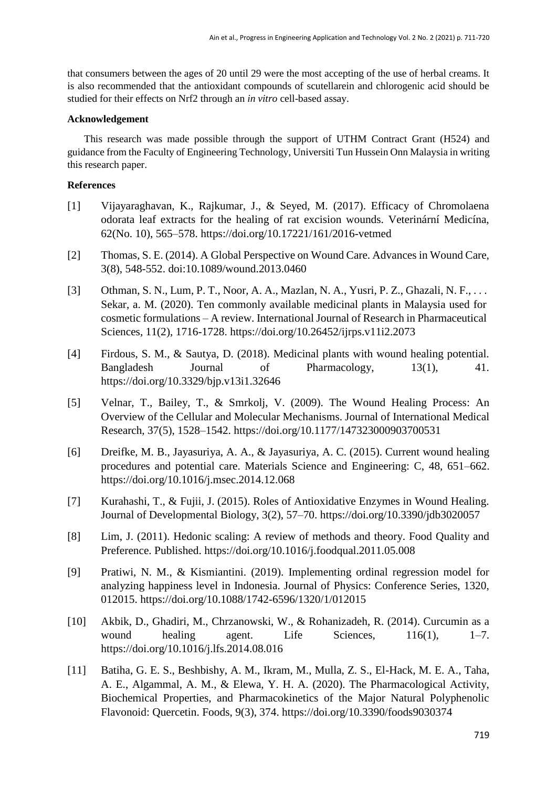that consumers between the ages of 20 until 29 were the most accepting of the use of herbal creams. It is also recommended that the antioxidant compounds of scutellarein and chlorogenic acid should be studied for their effects on Nrf2 through an *in vitro* cell-based assay.

# **Acknowledgement**

This research was made possible through the support of UTHM Contract Grant (H524) and guidance from the Faculty of Engineering Technology, Universiti Tun Hussein Onn Malaysia in writing this research paper.

# **References**

- [1] Vijayaraghavan, K., Rajkumar, J., & Seyed, M. (2017). Efficacy of Chromolaena odorata leaf extracts for the healing of rat excision wounds. Veterinární Medicína, 62(No. 10), 565–578. https://doi.org/10.17221/161/2016-vetmed
- [2] Thomas, S. E. (2014). A Global Perspective on Wound Care. Advances in Wound Care, 3(8), 548-552. doi:10.1089/wound.2013.0460
- [3] Othman, S. N., Lum, P. T., Noor, A. A., Mazlan, N. A., Yusri, P. Z., Ghazali, N. F., . . . Sekar, a. M. (2020). Ten commonly available medicinal plants in Malaysia used for cosmetic formulations – A review. International Journal of Research in Pharmaceutical Sciences, 11(2), 1716-1728. https://doi.org/10.26452/ijrps.v11i2.2073
- [4] Firdous, S. M., & Sautya, D. (2018). Medicinal plants with wound healing potential. Bangladesh Journal of Pharmacology,  $13(1)$ , 41. <https://doi.org/10.3329/bjp.v13i1.32646>
- [5] Velnar, T., Bailey, T., & Smrkolj, V. (2009). The Wound Healing Process: An Overview of the Cellular and Molecular Mechanisms. Journal of International Medical Research, 37(5), 1528–1542. https://doi.org/10.1177/147323000903700531
- [6] Dreifke, M. B., Jayasuriya, A. A., & Jayasuriya, A. C. (2015). Current wound healing procedures and potential care. Materials Science and Engineering: C, 48, 651–662. https://doi.org/10.1016/j.msec.2014.12.068
- [7] Kurahashi, T., & Fujii, J. (2015). Roles of Antioxidative Enzymes in Wound Healing. Journal of Developmental Biology, 3(2), 57–70. https://doi.org/10.3390/jdb3020057
- [8] Lim, J. (2011). Hedonic scaling: A review of methods and theory. Food Quality and Preference. Published. https://doi.org/10.1016/j.foodqual.2011.05.008
- [9] Pratiwi, N. M., & Kismiantini. (2019). Implementing ordinal regression model for analyzing happiness level in Indonesia. Journal of Physics: Conference Series, 1320, 012015. https://doi.org/10.1088/1742-6596/1320/1/012015
- [10] Akbik, D., Ghadiri, M., Chrzanowski, W., & Rohanizadeh, R. (2014). Curcumin as a wound healing agent. Life Sciences,  $116(1)$ , 1-7. https://doi.org/10.1016/j.lfs.2014.08.016
- [11] Batiha, G. E. S., Beshbishy, A. M., Ikram, M., Mulla, Z. S., El-Hack, M. E. A., Taha, A. E., Algammal, A. M., & Elewa, Y. H. A. (2020). The Pharmacological Activity, Biochemical Properties, and Pharmacokinetics of the Major Natural Polyphenolic Flavonoid: Quercetin. Foods, 9(3), 374. https://doi.org/10.3390/foods9030374